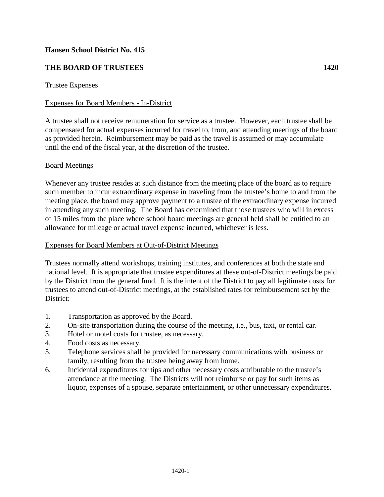# **Hansen School District No. 415**

# **THE BOARD OF TRUSTEES 1420**

## Trustee Expenses

## Expenses for Board Members - In-District

A trustee shall not receive remuneration for service as a trustee. However, each trustee shall be compensated for actual expenses incurred for travel to, from, and attending meetings of the board as provided herein. Reimbursement may be paid as the travel is assumed or may accumulate until the end of the fiscal year, at the discretion of the trustee.

## Board Meetings

Whenever any trustee resides at such distance from the meeting place of the board as to require such member to incur extraordinary expense in traveling from the trustee's home to and from the meeting place, the board may approve payment to a trustee of the extraordinary expense incurred in attending any such meeting. The Board has determined that those trustees who will in excess of 15 miles from the place where school board meetings are general held shall be entitled to an allowance for mileage or actual travel expense incurred, whichever is less.

## Expenses for Board Members at Out-of-District Meetings

Trustees normally attend workshops, training institutes, and conferences at both the state and national level. It is appropriate that trustee expenditures at these out-of-District meetings be paid by the District from the general fund. It is the intent of the District to pay all legitimate costs for trustees to attend out-of-District meetings, at the established rates for reimbursement set by the District:

- 1. Transportation as approved by the Board.
- 2. On-site transportation during the course of the meeting, i.e., bus, taxi, or rental car.
- 3. Hotel or motel costs for trustee, as necessary.
- 4. Food costs as necessary.
- 5. Telephone services shall be provided for necessary communications with business or family, resulting from the trustee being away from home.
- 6. Incidental expenditures for tips and other necessary costs attributable to the trustee's attendance at the meeting. The Districts will not reimburse or pay for such items as liquor, expenses of a spouse, separate entertainment, or other unnecessary expenditures.